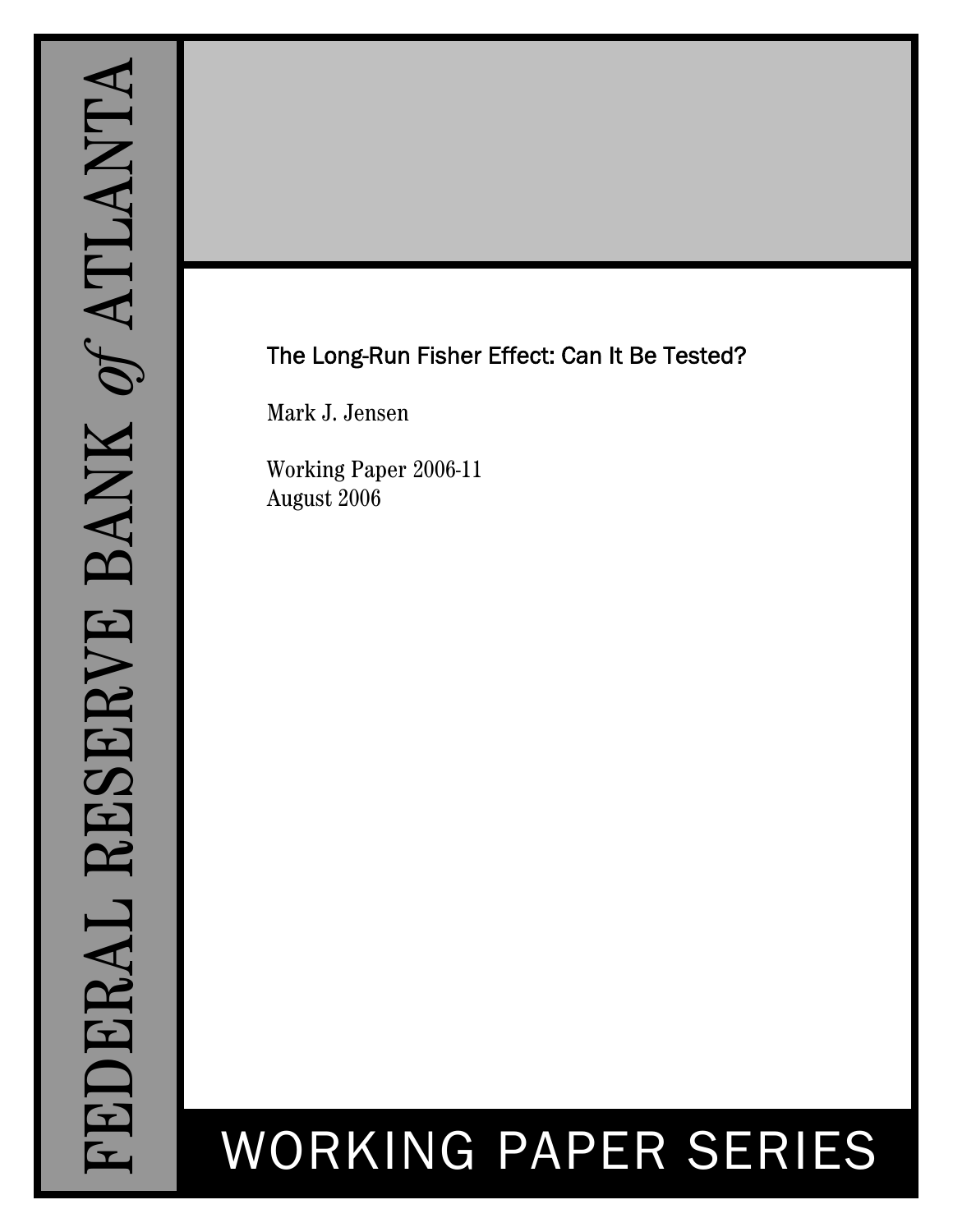## The Long-Run Fisher Effect: Can It Be Tested?

Mark J. Jensen

Working Paper 2006-11 August 2006

# WORKING PAPER SERIES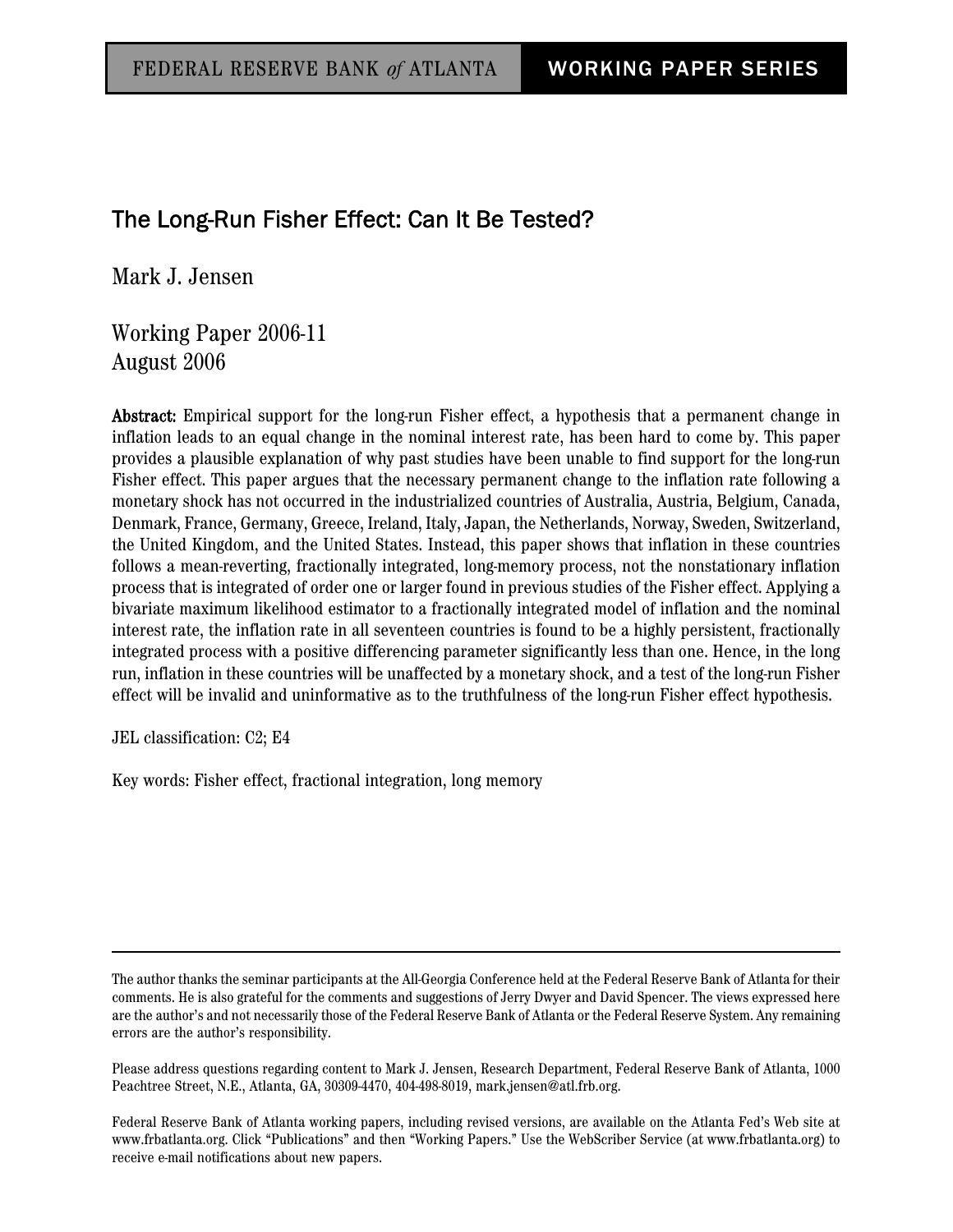### The Long-Run Fisher Effect: Can It Be Tested?

Mark J. Jensen

Working Paper 2006-11 August 2006

Abstract: Empirical support for the long-run Fisher effect, a hypothesis that a permanent change in inflation leads to an equal change in the nominal interest rate, has been hard to come by. This paper provides a plausible explanation of why past studies have been unable to find support for the long-run Fisher effect. This paper argues that the necessary permanent change to the inflation rate following a monetary shock has not occurred in the industrialized countries of Australia, Austria, Belgium, Canada, Denmark, France, Germany, Greece, Ireland, Italy, Japan, the Netherlands, Norway, Sweden, Switzerland, the United Kingdom, and the United States. Instead, this paper shows that inflation in these countries follows a mean-reverting, fractionally integrated, long-memory process, not the nonstationary inflation process that is integrated of order one or larger found in previous studies of the Fisher effect. Applying a bivariate maximum likelihood estimator to a fractionally integrated model of inflation and the nominal interest rate, the inflation rate in all seventeen countries is found to be a highly persistent, fractionally integrated process with a positive differencing parameter significantly less than one. Hence, in the long run, inflation in these countries will be unaffected by a monetary shock, and a test of the long-run Fisher effect will be invalid and uninformative as to the truthfulness of the long-run Fisher effect hypothesis.

JEL classification: C2; E4

Key words: Fisher effect, fractional integration, long memory

The author thanks the seminar participants at the All-Georgia Conference held at the Federal Reserve Bank of Atlanta for their comments. He is also grateful for the comments and suggestions of Jerry Dwyer and David Spencer. The views expressed here are the author's and not necessarily those of the Federal Reserve Bank of Atlanta or the Federal Reserve System. Any remaining errors are the author's responsibility.

Please address questions regarding content to Mark J. Jensen, Research Department, Federal Reserve Bank of Atlanta, 1000 Peachtree Street, N.E., Atlanta, GA, 30309-4470, 404-498-8019, mark.jensen@atl.frb.org.

Federal Reserve Bank of Atlanta working papers, including revised versions, are available on the Atlanta Fed's Web site at www.frbatlanta.org. Click "Publications" and then "Working Papers." Use the WebScriber Service (at www.frbatlanta.org) to receive e-mail notifications about new papers.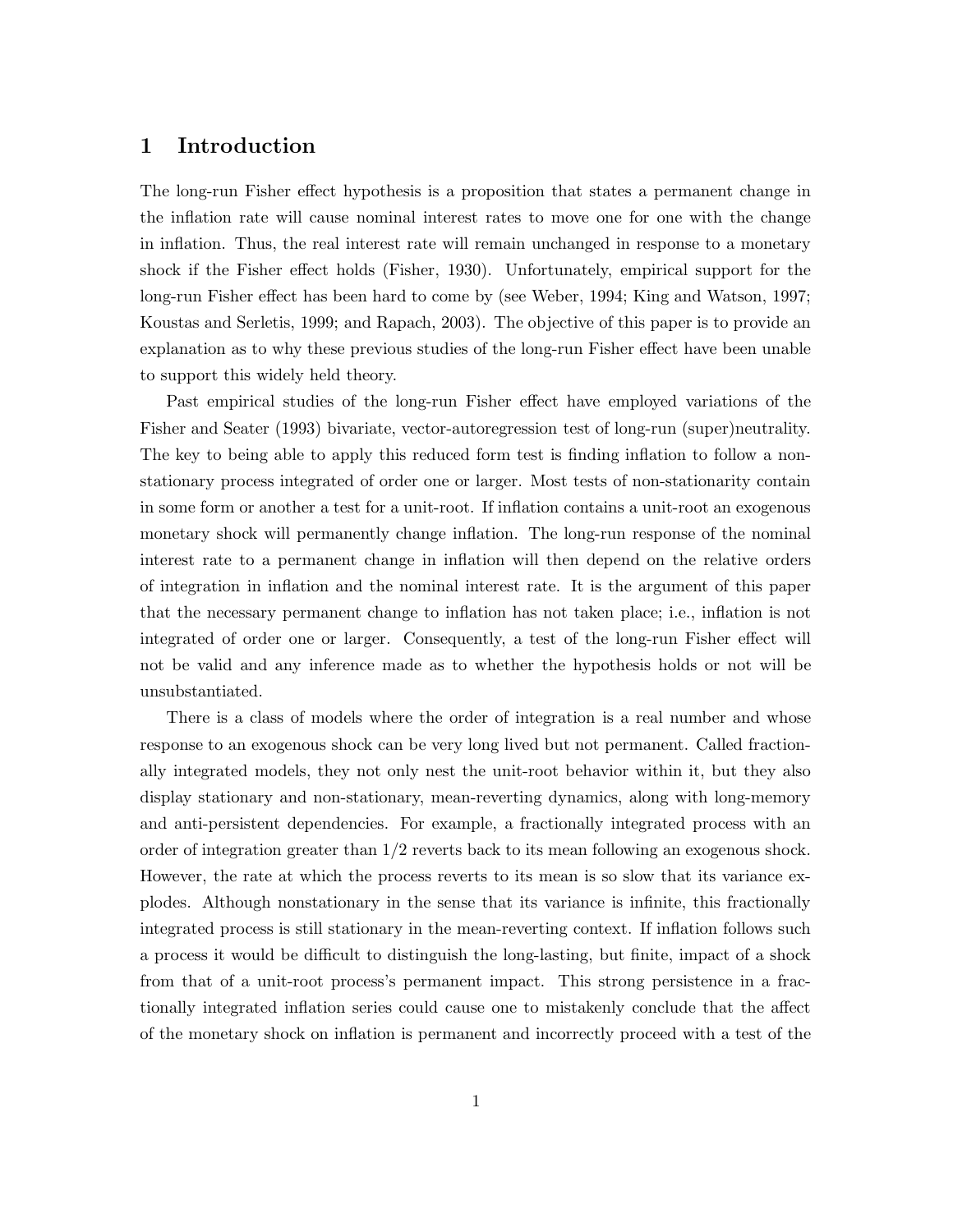#### 1 Introduction

The long-run Fisher effect hypothesis is a proposition that states a permanent change in the inflation rate will cause nominal interest rates to move one for one with the change in inflation. Thus, the real interest rate will remain unchanged in response to a monetary shock if the Fisher effect holds (Fisher, 1930). Unfortunately, empirical support for the long-run Fisher effect has been hard to come by (see Weber, 1994; King and Watson, 1997; Koustas and Serletis, 1999; and Rapach, 2003). The objective of this paper is to provide an explanation as to why these previous studies of the long-run Fisher effect have been unable to support this widely held theory.

Past empirical studies of the long-run Fisher effect have employed variations of the Fisher and Seater (1993) bivariate, vector-autoregression test of long-run (super)neutrality. The key to being able to apply this reduced form test is finding inflation to follow a nonstationary process integrated of order one or larger. Most tests of non-stationarity contain in some form or another a test for a unit-root. If inflation contains a unit-root an exogenous monetary shock will permanently change inflation. The long-run response of the nominal interest rate to a permanent change in inflation will then depend on the relative orders of integration in inflation and the nominal interest rate. It is the argument of this paper that the necessary permanent change to inflation has not taken place; i.e., inflation is not integrated of order one or larger. Consequently, a test of the long-run Fisher effect will not be valid and any inference made as to whether the hypothesis holds or not will be unsubstantiated.

There is a class of models where the order of integration is a real number and whose response to an exogenous shock can be very long lived but not permanent. Called fractionally integrated models, they not only nest the unit-root behavior within it, but they also display stationary and non-stationary, mean-reverting dynamics, along with long-memory and anti-persistent dependencies. For example, a fractionally integrated process with an order of integration greater than 1/2 reverts back to its mean following an exogenous shock. However, the rate at which the process reverts to its mean is so slow that its variance explodes. Although nonstationary in the sense that its variance is infinite, this fractionally integrated process is still stationary in the mean-reverting context. If inflation follows such a process it would be difficult to distinguish the long-lasting, but finite, impact of a shock from that of a unit-root process's permanent impact. This strong persistence in a fractionally integrated inflation series could cause one to mistakenly conclude that the affect of the monetary shock on inflation is permanent and incorrectly proceed with a test of the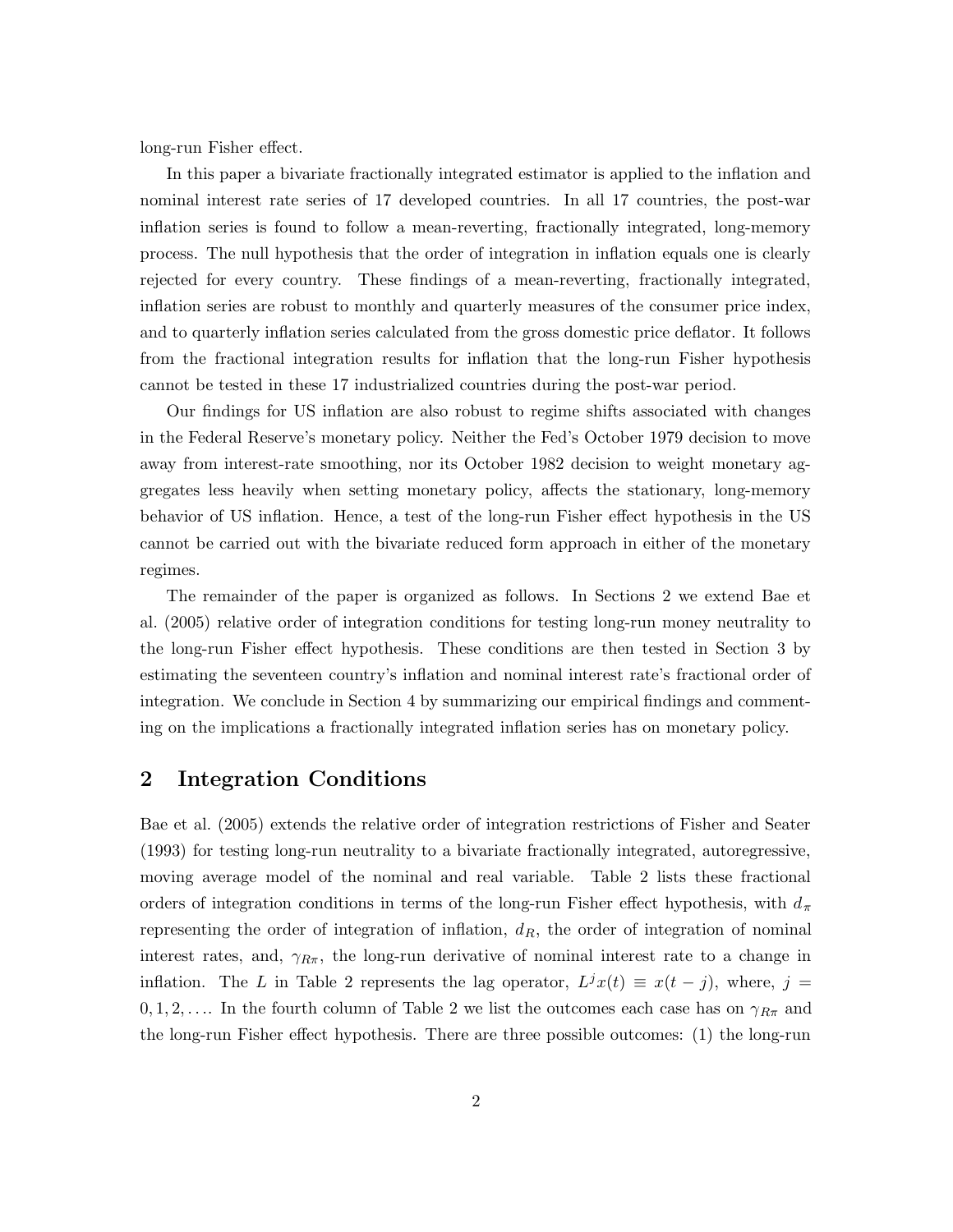long-run Fisher effect.

In this paper a bivariate fractionally integrated estimator is applied to the inflation and nominal interest rate series of 17 developed countries. In all 17 countries, the post-war inflation series is found to follow a mean-reverting, fractionally integrated, long-memory process. The null hypothesis that the order of integration in inflation equals one is clearly rejected for every country. These findings of a mean-reverting, fractionally integrated, inflation series are robust to monthly and quarterly measures of the consumer price index, and to quarterly inflation series calculated from the gross domestic price deflator. It follows from the fractional integration results for inflation that the long-run Fisher hypothesis cannot be tested in these 17 industrialized countries during the post-war period.

Our findings for US inflation are also robust to regime shifts associated with changes in the Federal Reserve's monetary policy. Neither the Fed's October 1979 decision to move away from interest-rate smoothing, nor its October 1982 decision to weight monetary aggregates less heavily when setting monetary policy, affects the stationary, long-memory behavior of US inflation. Hence, a test of the long-run Fisher effect hypothesis in the US cannot be carried out with the bivariate reduced form approach in either of the monetary regimes.

The remainder of the paper is organized as follows. In Sections 2 we extend Bae et al. (2005) relative order of integration conditions for testing long-run money neutrality to the long-run Fisher effect hypothesis. These conditions are then tested in Section 3 by estimating the seventeen country's inflation and nominal interest rate's fractional order of integration. We conclude in Section 4 by summarizing our empirical findings and commenting on the implications a fractionally integrated inflation series has on monetary policy.

#### 2 Integration Conditions

Bae et al. (2005) extends the relative order of integration restrictions of Fisher and Seater (1993) for testing long-run neutrality to a bivariate fractionally integrated, autoregressive, moving average model of the nominal and real variable. Table 2 lists these fractional orders of integration conditions in terms of the long-run Fisher effect hypothesis, with  $d_{\pi}$ representing the order of integration of inflation,  $d<sub>R</sub>$ , the order of integration of nominal interest rates, and,  $\gamma_{R\pi}$ , the long-run derivative of nominal interest rate to a change in inflation. The L in Table 2 represents the lag operator,  $L^{j}x(t) \equiv x(t - j)$ , where,  $j =$  $0, 1, 2, \ldots$  In the fourth column of Table 2 we list the outcomes each case has on  $\gamma_{R\pi}$  and the long-run Fisher effect hypothesis. There are three possible outcomes: (1) the long-run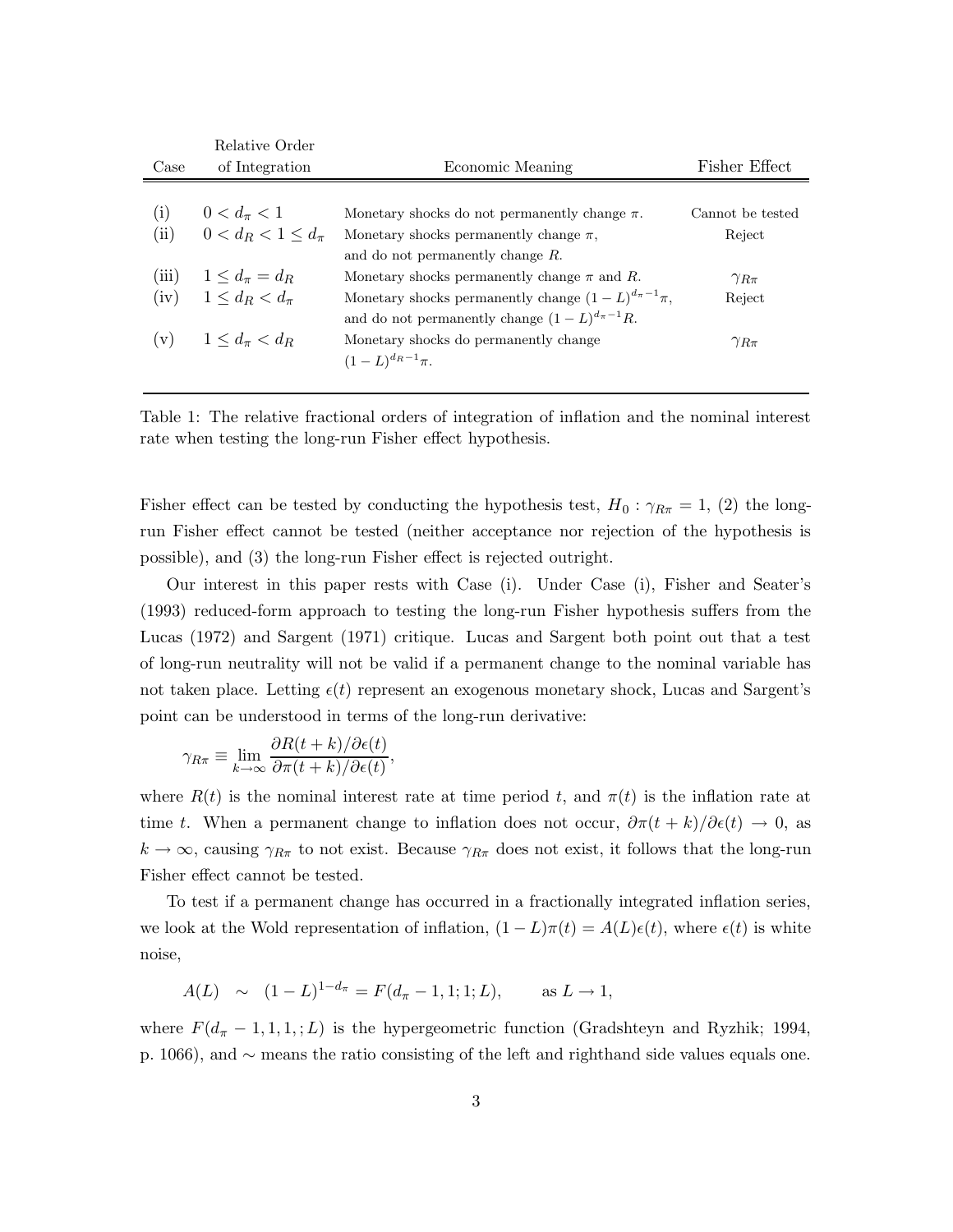|       | Relative Order              |                                                               |                  |
|-------|-----------------------------|---------------------------------------------------------------|------------------|
| Case  | of Integration              | Economic Meaning                                              | Fisher Effect    |
|       |                             |                                                               |                  |
| (i)   | $0 < d_{\pi} < 1$           | Monetary shocks do not permanently change $\pi$ .             | Cannot be tested |
| (ii)  | $0 < d_R < 1 \leq d_{\pi}$  | Monetary shocks permanently change $\pi$ ,                    | Reject           |
|       |                             | and do not permanently change $R$ .                           |                  |
| (iii) | $1 \leq d_{\pi} = d_{R}$    | Monetary shocks permanently change $\pi$ and R.               | $\gamma_{R\pi}$  |
| (iv)  | $1 \leq d_R < d_{\pi}$      | Monetary shocks permanently change $(1 - L)^{d_{\pi}-1}\pi$ , | Reject           |
|       |                             | and do not permanently change $(1 - L)^{d_{\pi}-1}R$ .        |                  |
| (v)   | $1 \leq d_{\pi} \leq d_{R}$ | Monetary shocks do permanently change                         | $\gamma_{R\pi}$  |
|       |                             | $(1-L)^{d_R-1}\pi$ .                                          |                  |

Table 1: The relative fractional orders of integration of inflation and the nominal interest rate when testing the long-run Fisher effect hypothesis.

Fisher effect can be tested by conducting the hypothesis test,  $H_0$ :  $\gamma_{R\pi} = 1$ , (2) the longrun Fisher effect cannot be tested (neither acceptance nor rejection of the hypothesis is possible), and (3) the long-run Fisher effect is rejected outright.

Our interest in this paper rests with Case (i). Under Case (i), Fisher and Seater's (1993) reduced-form approach to testing the long-run Fisher hypothesis suffers from the Lucas (1972) and Sargent (1971) critique. Lucas and Sargent both point out that a test of long-run neutrality will not be valid if a permanent change to the nominal variable has not taken place. Letting  $\epsilon(t)$  represent an exogenous monetary shock, Lucas and Sargent's point can be understood in terms of the long-run derivative:

$$
\gamma_{R\pi} \equiv \lim_{k \to \infty} \frac{\partial R(t+k)/\partial \epsilon(t)}{\partial \pi(t+k)/\partial \epsilon(t)},
$$

where  $R(t)$  is the nominal interest rate at time period t, and  $\pi(t)$  is the inflation rate at time t. When a permanent change to inflation does not occur,  $\partial \pi(t+k)/\partial \epsilon(t) \to 0$ , as  $k \to \infty$ , causing  $\gamma_{R\pi}$  to not exist. Because  $\gamma_{R\pi}$  does not exist, it follows that the long-run Fisher effect cannot be tested.

To test if a permanent change has occurred in a fractionally integrated inflation series, we look at the Wold representation of inflation,  $(1 - L)\pi(t) = A(L)\epsilon(t)$ , where  $\epsilon(t)$  is white noise,

$$
A(L) \sim (1-L)^{1-d_{\pi}} = F(d_{\pi}-1,1;1;L), \text{ as } L \to 1,
$$

where  $F(d_{\pi}-1,1,1,:L)$  is the hypergeometric function (Gradshteyn and Ryzhik; 1994, p. 1066), and ∼ means the ratio consisting of the left and righthand side values equals one.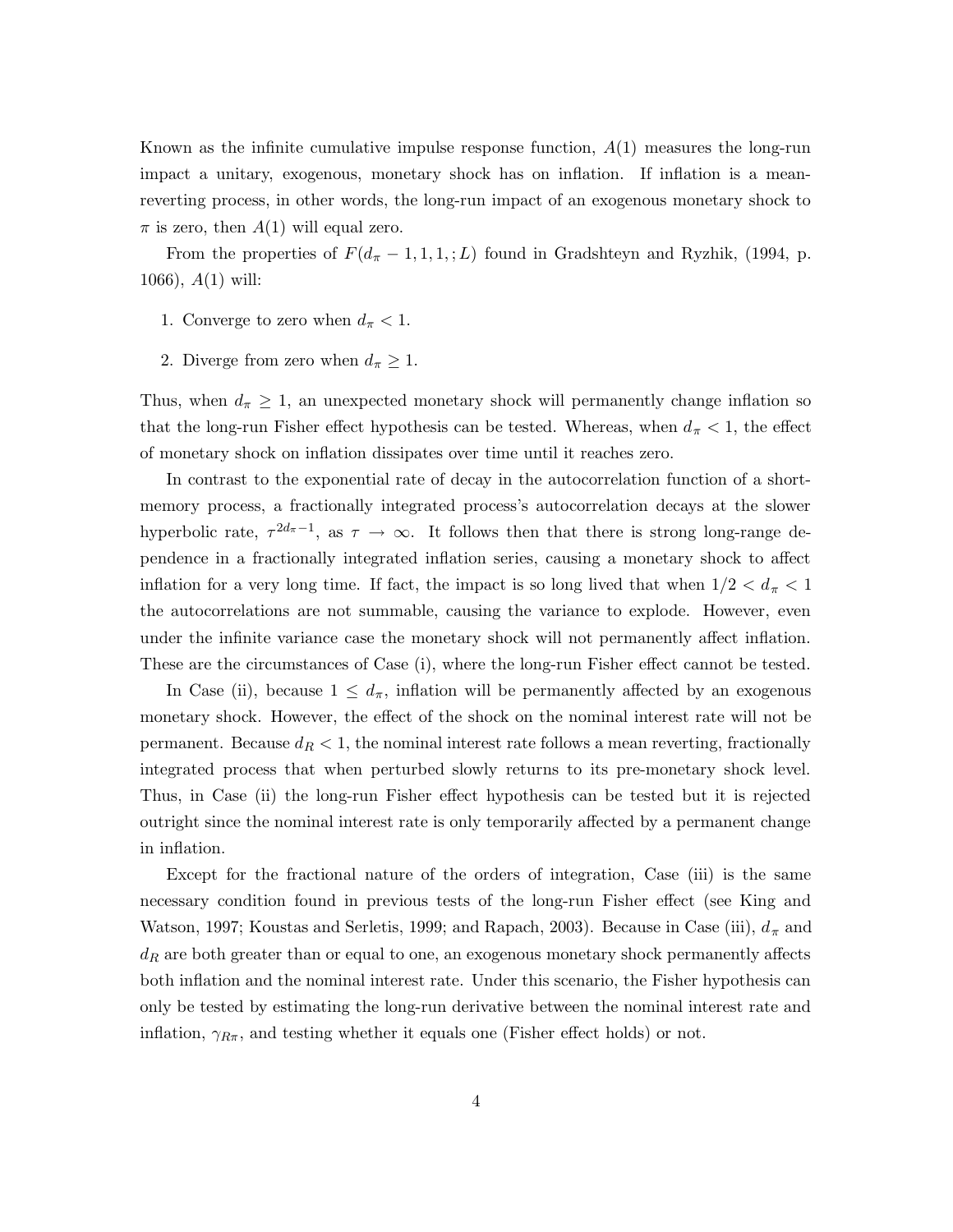Known as the infinite cumulative impulse response function,  $A(1)$  measures the long-run impact a unitary, exogenous, monetary shock has on inflation. If inflation is a meanreverting process, in other words, the long-run impact of an exogenous monetary shock to  $\pi$  is zero, then  $A(1)$  will equal zero.

From the properties of  $F(d_{\pi}-1,1,1,:L)$  found in Gradshteyn and Ryzhik, (1994, p. 1066), A(1) will:

- 1. Converge to zero when  $d_{\pi} < 1$ .
- 2. Diverge from zero when  $d_{\pi} \geq 1$ .

Thus, when  $d_{\pi} \geq 1$ , an unexpected monetary shock will permanently change inflation so that the long-run Fisher effect hypothesis can be tested. Whereas, when  $d_{\pi} < 1$ , the effect of monetary shock on inflation dissipates over time until it reaches zero.

In contrast to the exponential rate of decay in the autocorrelation function of a shortmemory process, a fractionally integrated process's autocorrelation decays at the slower hyperbolic rate,  $\tau^{2d_{\pi}-1}$ , as  $\tau \to \infty$ . It follows then that there is strong long-range dependence in a fractionally integrated inflation series, causing a monetary shock to affect inflation for a very long time. If fact, the impact is so long lived that when  $1/2 < d_{\pi} < 1$ the autocorrelations are not summable, causing the variance to explode. However, even under the infinite variance case the monetary shock will not permanently affect inflation. These are the circumstances of Case (i), where the long-run Fisher effect cannot be tested.

In Case (ii), because  $1 \leq d_{\pi}$ , inflation will be permanently affected by an exogenous monetary shock. However, the effect of the shock on the nominal interest rate will not be permanent. Because  $d_R < 1$ , the nominal interest rate follows a mean reverting, fractionally integrated process that when perturbed slowly returns to its pre-monetary shock level. Thus, in Case (ii) the long-run Fisher effect hypothesis can be tested but it is rejected outright since the nominal interest rate is only temporarily affected by a permanent change in inflation.

Except for the fractional nature of the orders of integration, Case (iii) is the same necessary condition found in previous tests of the long-run Fisher effect (see King and Watson, 1997; Koustas and Serletis, 1999; and Rapach, 2003). Because in Case (iii),  $d_{\pi}$  and  $d_R$  are both greater than or equal to one, an exogenous monetary shock permanently affects both inflation and the nominal interest rate. Under this scenario, the Fisher hypothesis can only be tested by estimating the long-run derivative between the nominal interest rate and inflation,  $\gamma_{R\pi}$ , and testing whether it equals one (Fisher effect holds) or not.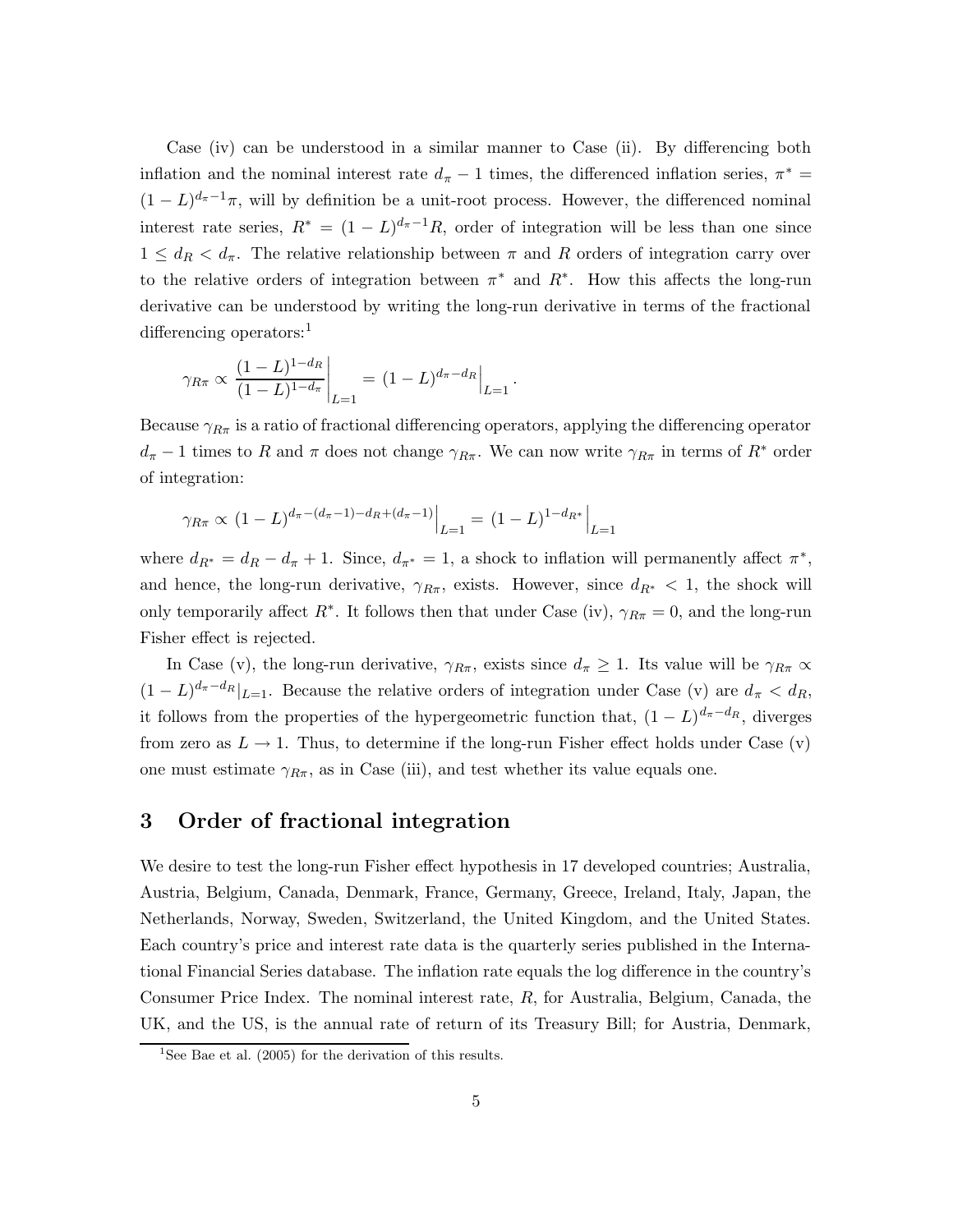Case (iv) can be understood in a similar manner to Case (ii). By differencing both inflation and the nominal interest rate  $d_{\pi} - 1$  times, the differenced inflation series,  $\pi^* =$  $(1 - L)^{d_{\pi}-1}\pi$ , will by definition be a unit-root process. However, the differenced nominal interest rate series,  $R^* = (1 - L)^{d_{\pi}-1}R$ , order of integration will be less than one since  $1 \leq d_R < d_{\pi}$ . The relative relationship between  $\pi$  and R orders of integration carry over to the relative orders of integration between  $\pi^*$  and  $R^*$ . How this affects the long-run derivative can be understood by writing the long-run derivative in terms of the fractional differencing operators:<sup>1</sup>

$$
\gamma_{R\pi} \propto \frac{(1-L)^{1-d_R}}{(1-L)^{1-d_{\pi}}} \bigg|_{L=1} = (1-L)^{d_{\pi}-d_R} \bigg|_{L=1}.
$$

Because  $\gamma_{R\pi}$  is a ratio of fractional differencing operators, applying the differencing operator  $d_{\pi}$  − 1 times to R and  $\pi$  does not change  $\gamma_{R_{\pi}}$ . We can now write  $\gamma_{R_{\pi}}$  in terms of  $R^*$  order of integration:

$$
\gamma_{R\pi} \propto (1-L)^{d_{\pi} - (d_{\pi}-1) - d_R + (d_{\pi}-1)}\Big|_{L=1} = (1-L)^{1-d_{R^*}}\Big|_{L=1}
$$

where  $d_{R^*} = d_R - d_{\pi} + 1$ . Since,  $d_{\pi^*} = 1$ , a shock to inflation will permanently affect  $\pi^*$ , and hence, the long-run derivative,  $\gamma_{R\pi}$ , exists. However, since  $d_{R^*} < 1$ , the shock will only temporarily affect  $R^*$ . It follows then that under Case (iv),  $\gamma_{R\pi} = 0$ , and the long-run Fisher effect is rejected.

In Case (v), the long-run derivative,  $\gamma_{R\pi}$ , exists since  $d_{\pi} \geq 1$ . Its value will be  $\gamma_{R\pi} \propto$  $(1-L)^{d_{\pi}-d_R}|_{L=1}$ . Because the relative orders of integration under Case (v) are  $d_{\pi} < d_R$ , it follows from the properties of the hypergeometric function that,  $(1-L)^{d_{\pi}-d_R}$ , diverges from zero as  $L \to 1$ . Thus, to determine if the long-run Fisher effect holds under Case (v) one must estimate  $\gamma_{R\pi}$ , as in Case (iii), and test whether its value equals one.

#### 3 Order of fractional integration

We desire to test the long-run Fisher effect hypothesis in 17 developed countries; Australia, Austria, Belgium, Canada, Denmark, France, Germany, Greece, Ireland, Italy, Japan, the Netherlands, Norway, Sweden, Switzerland, the United Kingdom, and the United States. Each country's price and interest rate data is the quarterly series published in the International Financial Series database. The inflation rate equals the log difference in the country's Consumer Price Index. The nominal interest rate, R, for Australia, Belgium, Canada, the UK, and the US, is the annual rate of return of its Treasury Bill; for Austria, Denmark,

<sup>&</sup>lt;sup>1</sup>See Bae et al.  $(2005)$  for the derivation of this results.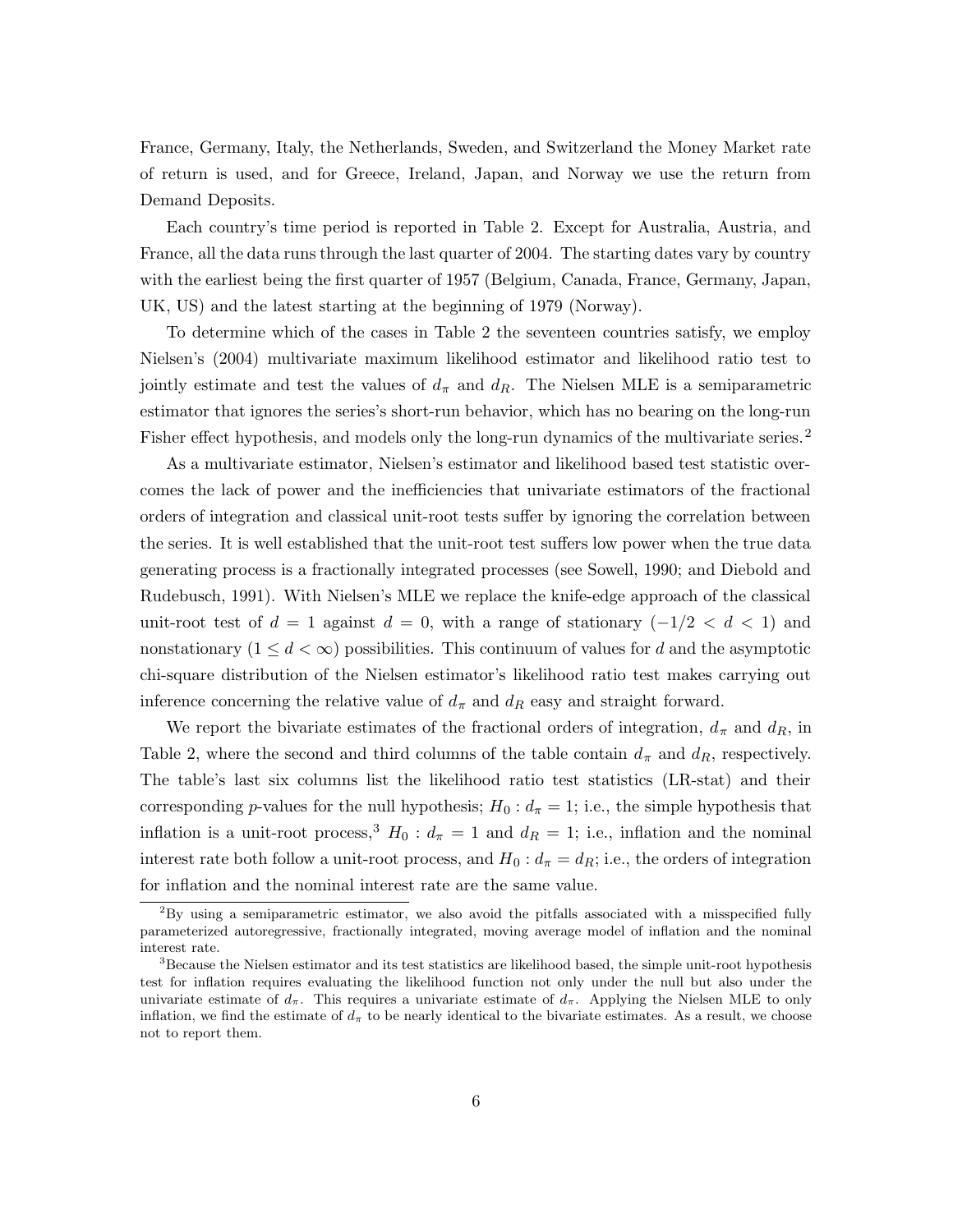France, Germany, Italy, the Netherlands, Sweden, and Switzerland the Money Market rate of return is used, and for Greece, Ireland, Japan, and Norway we use the return from Demand Deposits.

Each country's time period is reported in Table 2. Except for Australia, Austria, and France, all the data runs through the last quarter of 2004. The starting dates vary by country with the earliest being the first quarter of 1957 (Belgium, Canada, France, Germany, Japan, UK, US) and the latest starting at the beginning of 1979 (Norway).

To determine which of the cases in Table 2 the seventeen countries satisfy, we employ Nielsen's (2004) multivariate maximum likelihood estimator and likelihood ratio test to jointly estimate and test the values of  $d_{\pi}$  and  $d_{R}$ . The Nielsen MLE is a semiparametric estimator that ignores the series's short-run behavior, which has no bearing on the long-run Fisher effect hypothesis, and models only the long-run dynamics of the multivariate series.<sup>2</sup>

As a multivariate estimator, Nielsen's estimator and likelihood based test statistic overcomes the lack of power and the inefficiencies that univariate estimators of the fractional orders of integration and classical unit-root tests suffer by ignoring the correlation between the series. It is well established that the unit-root test suffers low power when the true data generating process is a fractionally integrated processes (see Sowell, 1990; and Diebold and Rudebusch, 1991). With Nielsen's MLE we replace the knife-edge approach of the classical unit-root test of  $d = 1$  against  $d = 0$ , with a range of stationary  $(-1/2 < d < 1)$  and nonstationary  $(1 \leq d < \infty)$  possibilities. This continuum of values for d and the asymptotic chi-square distribution of the Nielsen estimator's likelihood ratio test makes carrying out inference concerning the relative value of  $d_{\pi}$  and  $d_{R}$  easy and straight forward.

We report the bivariate estimates of the fractional orders of integration,  $d_{\pi}$  and  $d_R$ , in Table 2, where the second and third columns of the table contain  $d_{\pi}$  and  $d_R$ , respectively. The table's last six columns list the likelihood ratio test statistics (LR-stat) and their corresponding p-values for the null hypothesis;  $H_0: d_\pi = 1$ ; i.e., the simple hypothesis that inflation is a unit-root process,<sup>3</sup> H<sub>0</sub> :  $d_{\pi} = 1$  and  $d_R = 1$ ; i.e., inflation and the nominal interest rate both follow a unit-root process, and  $H_0: d_\pi = d_R$ ; i.e., the orders of integration for inflation and the nominal interest rate are the same value.

 ${}^{2}$ By using a semiparametric estimator, we also avoid the pitfalls associated with a misspecified fully parameterized autoregressive, fractionally integrated, moving average model of inflation and the nominal interest rate.

<sup>&</sup>lt;sup>3</sup>Because the Nielsen estimator and its test statistics are likelihood based, the simple unit-root hypothesis test for inflation requires evaluating the likelihood function not only under the null but also under the univariate estimate of  $d_{\pi}$ . This requires a univariate estimate of  $d_{\pi}$ . Applying the Nielsen MLE to only inflation, we find the estimate of  $d_{\pi}$  to be nearly identical to the bivariate estimates. As a result, we choose not to report them.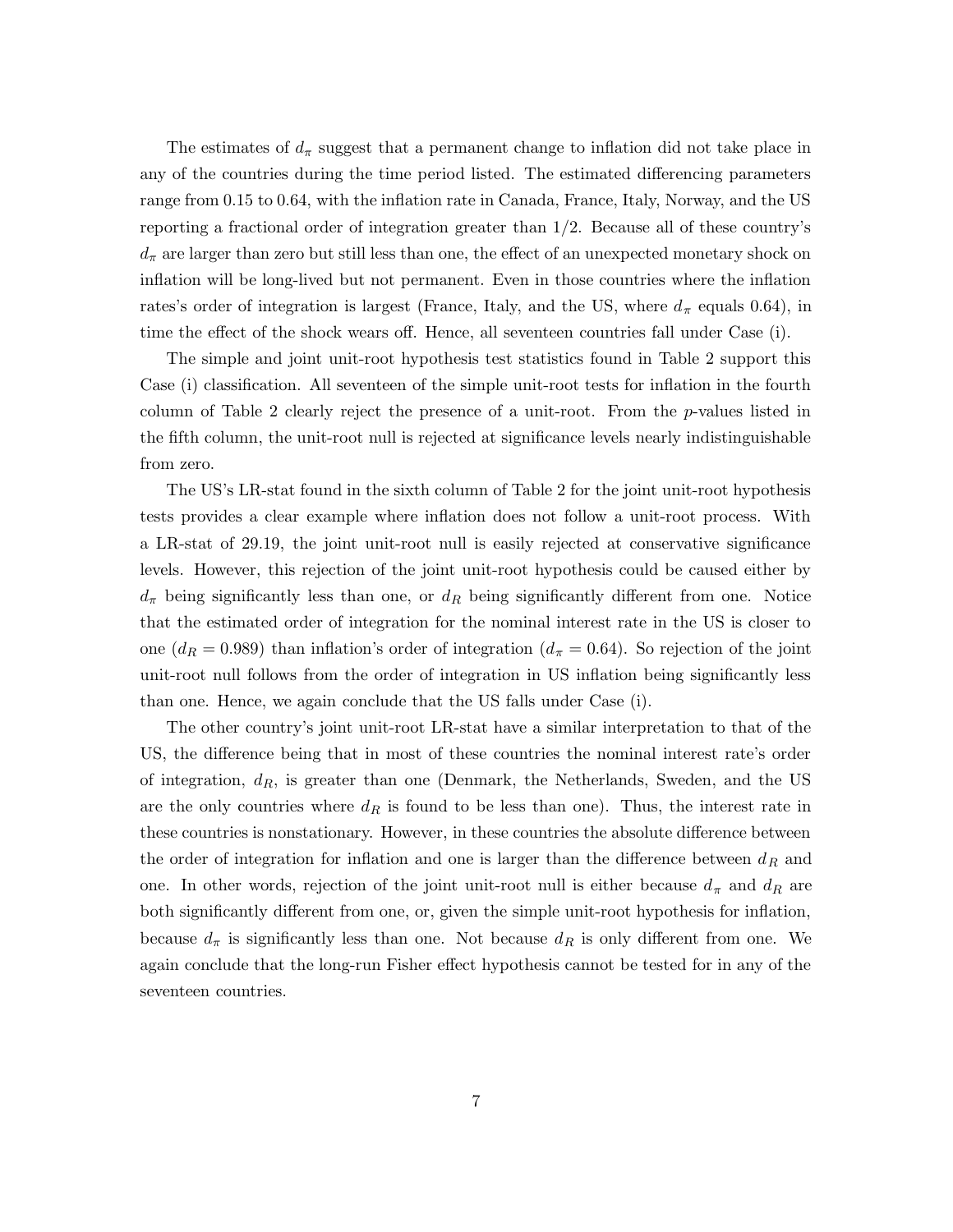The estimates of  $d_{\pi}$  suggest that a permanent change to inflation did not take place in any of the countries during the time period listed. The estimated differencing parameters range from 0.15 to 0.64, with the inflation rate in Canada, France, Italy, Norway, and the US reporting a fractional order of integration greater than 1/2. Because all of these country's  $d_{\pi}$  are larger than zero but still less than one, the effect of an unexpected monetary shock on inflation will be long-lived but not permanent. Even in those countries where the inflation rates's order of integration is largest (France, Italy, and the US, where  $d_{\pi}$  equals 0.64), in time the effect of the shock wears off. Hence, all seventeen countries fall under Case (i).

The simple and joint unit-root hypothesis test statistics found in Table 2 support this Case (i) classification. All seventeen of the simple unit-root tests for inflation in the fourth column of Table 2 clearly reject the presence of a unit-root. From the p-values listed in the fifth column, the unit-root null is rejected at significance levels nearly indistinguishable from zero.

The US's LR-stat found in the sixth column of Table 2 for the joint unit-root hypothesis tests provides a clear example where inflation does not follow a unit-root process. With a LR-stat of 29.19, the joint unit-root null is easily rejected at conservative significance levels. However, this rejection of the joint unit-root hypothesis could be caused either by  $d_{\pi}$  being significantly less than one, or  $d_{R}$  being significantly different from one. Notice that the estimated order of integration for the nominal interest rate in the US is closer to one  $(d_R = 0.989)$  than inflation's order of integration  $(d_\pi = 0.64)$ . So rejection of the joint unit-root null follows from the order of integration in US inflation being significantly less than one. Hence, we again conclude that the US falls under Case (i).

The other country's joint unit-root LR-stat have a similar interpretation to that of the US, the difference being that in most of these countries the nominal interest rate's order of integration,  $d_R$ , is greater than one (Denmark, the Netherlands, Sweden, and the US are the only countries where  $d_R$  is found to be less than one). Thus, the interest rate in these countries is nonstationary. However, in these countries the absolute difference between the order of integration for inflation and one is larger than the difference between  $d_R$  and one. In other words, rejection of the joint unit-root null is either because  $d_{\pi}$  and  $d_{R}$  are both significantly different from one, or, given the simple unit-root hypothesis for inflation, because  $d_{\pi}$  is significantly less than one. Not because  $d_R$  is only different from one. We again conclude that the long-run Fisher effect hypothesis cannot be tested for in any of the seventeen countries.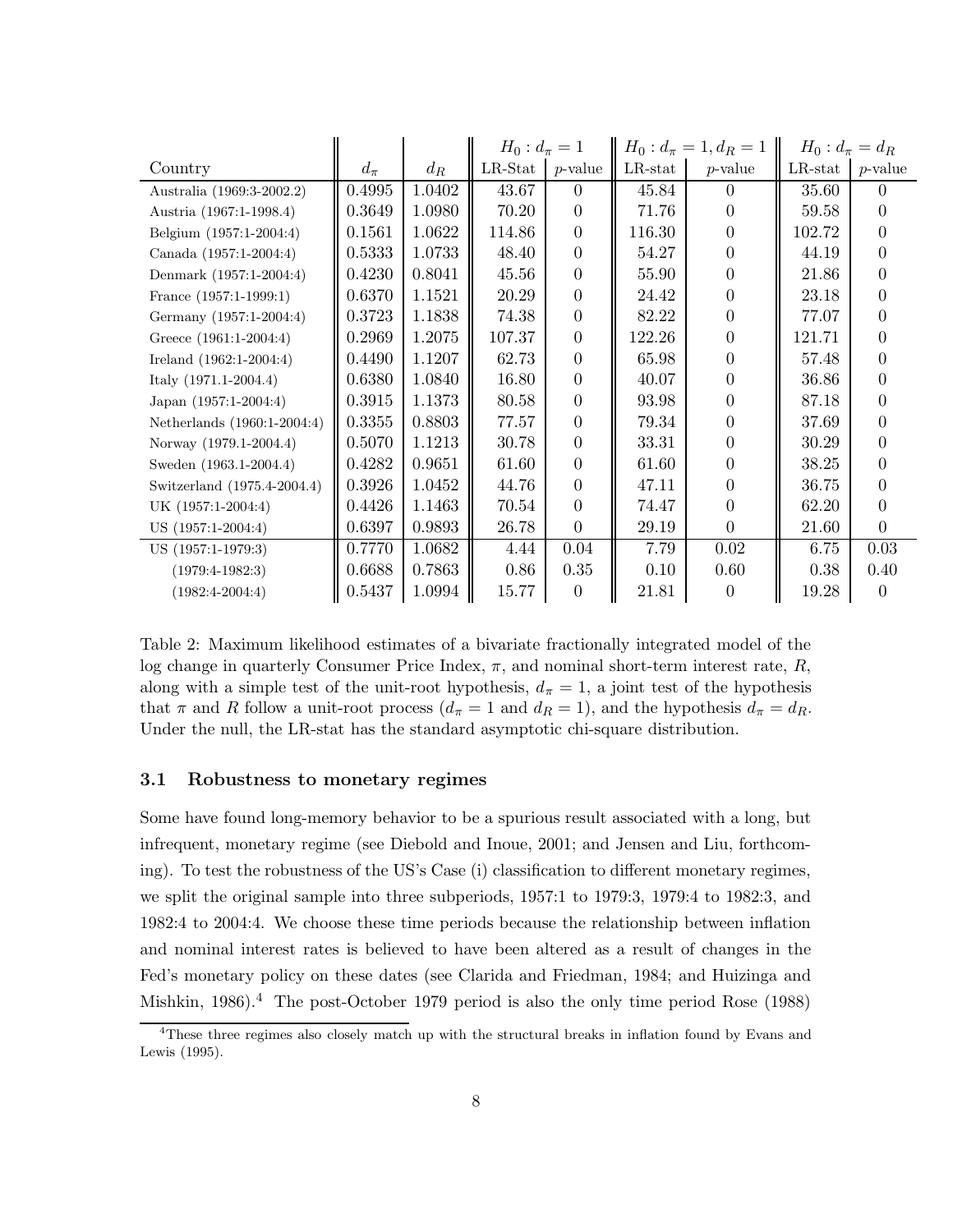|                             |           |        | $H_0: d_{\pi}=1$ |                  | $H_0: d_{\pi}=1, d_R=1$ |                  | $H_0: d_{\pi} = d_R$ |            |
|-----------------------------|-----------|--------|------------------|------------------|-------------------------|------------------|----------------------|------------|
| Country                     | $d_{\pi}$ | $d_R$  | $LR$ -Stat       | $p$ -value       | $LR$ -stat              | $p$ -value       | $LR$ -stat           | $p$ -value |
| Australia (1969:3-2002.2)   | 0.4995    | 1.0402 | 43.67            | $\theta$         | 45.84                   | $\left( \right)$ | 35.60                | $\Omega$   |
| Austria (1967:1-1998.4)     | 0.3649    | 1.0980 | 70.20            | $\theta$         | 71.76                   | $^{(1)}$         | 59.58                | 0          |
| Belgium (1957:1-2004:4)     | 0.1561    | 1.0622 | 114.86           | $\overline{0}$   | 116.30                  | 0                | 102.72               | 0          |
| Canada (1957:1-2004:4)      | 0.5333    | 1.0733 | 48.40            | $\overline{0}$   | 54.27                   | $\theta$         | 44.19                | 0          |
| Denmark (1957:1-2004:4)     | 0.4230    | 0.8041 | 45.56            | $\overline{0}$   | 55.90                   | $\theta$         | 21.86                | 0          |
| France (1957:1-1999:1)      | 0.6370    | 1.1521 | 20.29            | 0                | 24.42                   | $^{(1)}$         | 23.18                | 0          |
| Germany (1957:1-2004:4)     | 0.3723    | 1.1838 | 74.38            | $\overline{0}$   | 82.22                   | 0                | 77.07                | $\Omega$   |
| Greece (1961:1-2004:4)      | 0.2969    | 1.2075 | 107.37           | $\boldsymbol{0}$ | 122.26                  | $\Omega$         | 121.71               | 0          |
| Ireland (1962:1-2004:4)     | 0.4490    | 1.1207 | 62.73            | 0                | 65.98                   | $\theta$         | 57.48                | 0          |
| Italy $(1971.1 - 2004.4)$   | 0.6380    | 1.0840 | 16.80            | $\theta$         | 40.07                   | $\theta$         | 36.86                | 0          |
| Japan (1957:1-2004:4)       | 0.3915    | 1.1373 | 80.58            | $\boldsymbol{0}$ | 93.98                   | $\theta$         | 87.18                | $\Omega$   |
| Netherlands (1960:1-2004:4) | 0.3355    | 0.8803 | 77.57            | $\overline{0}$   | 79.34                   | 0                | 37.69                | 0          |
| Norway (1979.1-2004.4)      | 0.5070    | 1.1213 | 30.78            | $\overline{0}$   | 33.31                   | 0                | 30.29                | 0          |
| Sweden (1963.1-2004.4)      | 0.4282    | 0.9651 | 61.60            | $\overline{0}$   | 61.60                   | $^{(1)}$         | 38.25                | 0          |
| Switzerland (1975.4-2004.4) | 0.3926    | 1.0452 | 44.76            | $\overline{0}$   | 47.11                   | $\theta$         | 36.75                | 0          |
| UK (1957:1-2004:4)          | 0.4426    | 1.1463 | 70.54            | 0                | 74.47                   | $\mathbf{0}$     | 62.20                | 0          |
| US (1957:1-2004:4)          | 0.6397    | 0.9893 | 26.78            | $\theta$         | 29.19                   | $\Omega$         | 21.60                | $\Omega$   |
| US (1957:1-1979:3)          | 0.7770    | 1.0682 | 4.44             | 0.04             | 7.79                    | 0.02             | 6.75                 | 0.03       |
| $(1979:4-1982:3)$           | 0.6688    | 0.7863 | 0.86             | 0.35             | 0.10                    | 0.60             | 0.38                 | 0.40       |
| $(1982:4-2004:4)$           | 0.5437    | 1.0994 | 15.77            | $\theta$         | 21.81                   | $\theta$         | 19.28                | $\Omega$   |

Table 2: Maximum likelihood estimates of a bivariate fractionally integrated model of the log change in quarterly Consumer Price Index,  $\pi$ , and nominal short-term interest rate,  $R$ , along with a simple test of the unit-root hypothesis,  $d_{\pi} = 1$ , a joint test of the hypothesis that  $\pi$  and R follow a unit-root process  $(d_{\pi} = 1 \text{ and } d_R = 1)$ , and the hypothesis  $d_{\pi} = d_R$ . Under the null, the LR-stat has the standard asymptotic chi-square distribution.

#### 3.1 Robustness to monetary regimes

Some have found long-memory behavior to be a spurious result associated with a long, but infrequent, monetary regime (see Diebold and Inoue, 2001; and Jensen and Liu, forthcoming). To test the robustness of the US's Case (i) classification to different monetary regimes, we split the original sample into three subperiods, 1957:1 to 1979:3, 1979:4 to 1982:3, and 1982:4 to 2004:4. We choose these time periods because the relationship between inflation and nominal interest rates is believed to have been altered as a result of changes in the Fed's monetary policy on these dates (see Clarida and Friedman, 1984; and Huizinga and Mishkin, 1986).<sup>4</sup> The post-October 1979 period is also the only time period Rose (1988)

<sup>&</sup>lt;sup>4</sup>These three regimes also closely match up with the structural breaks in inflation found by Evans and Lewis (1995).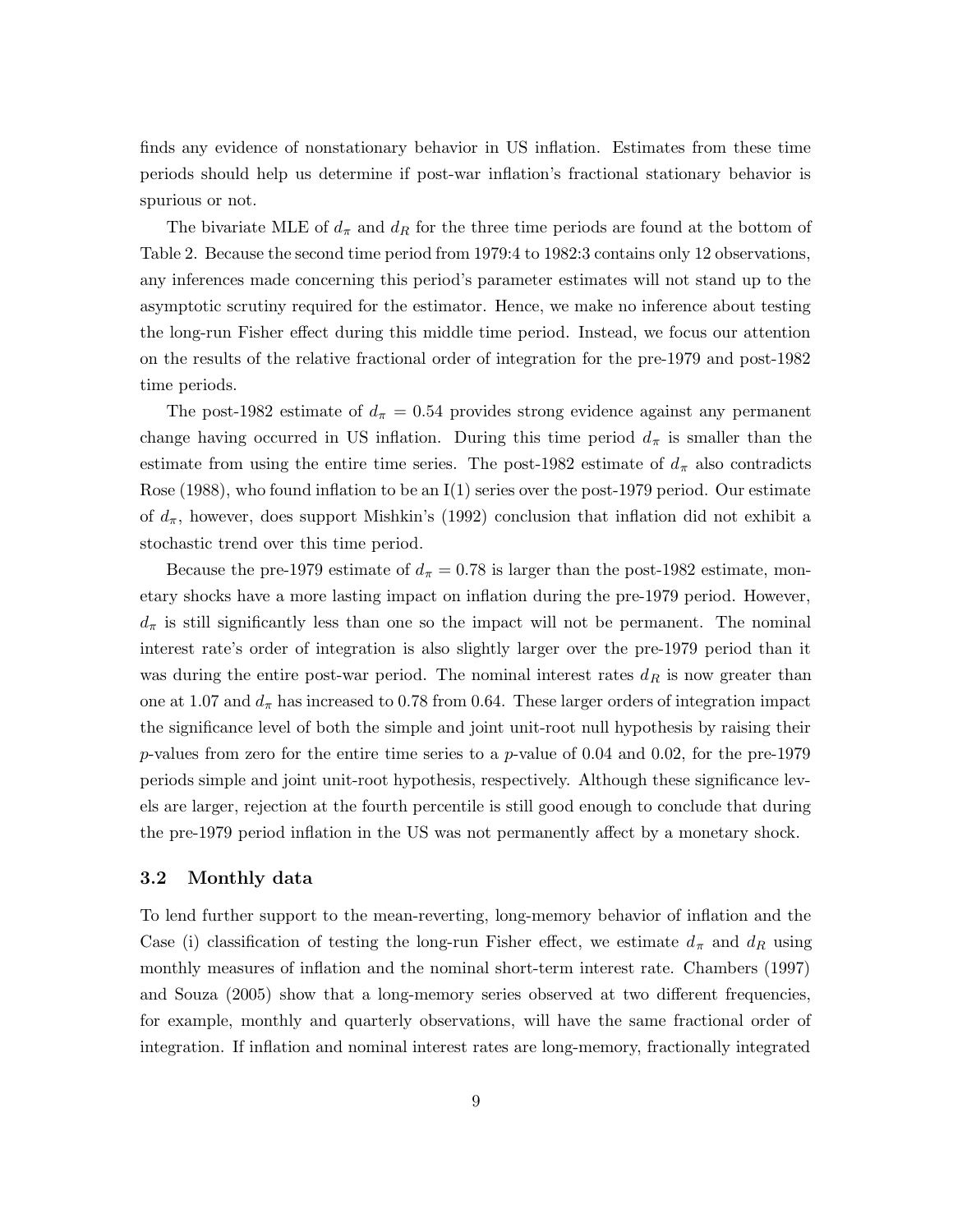finds any evidence of nonstationary behavior in US inflation. Estimates from these time periods should help us determine if post-war inflation's fractional stationary behavior is spurious or not.

The bivariate MLE of  $d_{\pi}$  and  $d_R$  for the three time periods are found at the bottom of Table 2. Because the second time period from 1979:4 to 1982:3 contains only 12 observations, any inferences made concerning this period's parameter estimates will not stand up to the asymptotic scrutiny required for the estimator. Hence, we make no inference about testing the long-run Fisher effect during this middle time period. Instead, we focus our attention on the results of the relative fractional order of integration for the pre-1979 and post-1982 time periods.

The post-1982 estimate of  $d_{\pi} = 0.54$  provides strong evidence against any permanent change having occurred in US inflation. During this time period  $d_{\pi}$  is smaller than the estimate from using the entire time series. The post-1982 estimate of  $d_{\pi}$  also contradicts Rose (1988), who found inflation to be an  $I(1)$  series over the post-1979 period. Our estimate of  $d_{\pi}$ , however, does support Mishkin's (1992) conclusion that inflation did not exhibit a stochastic trend over this time period.

Because the pre-1979 estimate of  $d_{\pi} = 0.78$  is larger than the post-1982 estimate, monetary shocks have a more lasting impact on inflation during the pre-1979 period. However,  $d_{\pi}$  is still significantly less than one so the impact will not be permanent. The nominal interest rate's order of integration is also slightly larger over the pre-1979 period than it was during the entire post-war period. The nominal interest rates  $d<sub>R</sub>$  is now greater than one at 1.07 and  $d_{\pi}$  has increased to 0.78 from 0.64. These larger orders of integration impact the significance level of both the simple and joint unit-root null hypothesis by raising their p-values from zero for the entire time series to a p-value of 0.04 and 0.02, for the pre-1979 periods simple and joint unit-root hypothesis, respectively. Although these significance levels are larger, rejection at the fourth percentile is still good enough to conclude that during the pre-1979 period inflation in the US was not permanently affect by a monetary shock.

#### 3.2 Monthly data

To lend further support to the mean-reverting, long-memory behavior of inflation and the Case (i) classification of testing the long-run Fisher effect, we estimate  $d_{\pi}$  and  $d_{R}$  using monthly measures of inflation and the nominal short-term interest rate. Chambers (1997) and Souza (2005) show that a long-memory series observed at two different frequencies, for example, monthly and quarterly observations, will have the same fractional order of integration. If inflation and nominal interest rates are long-memory, fractionally integrated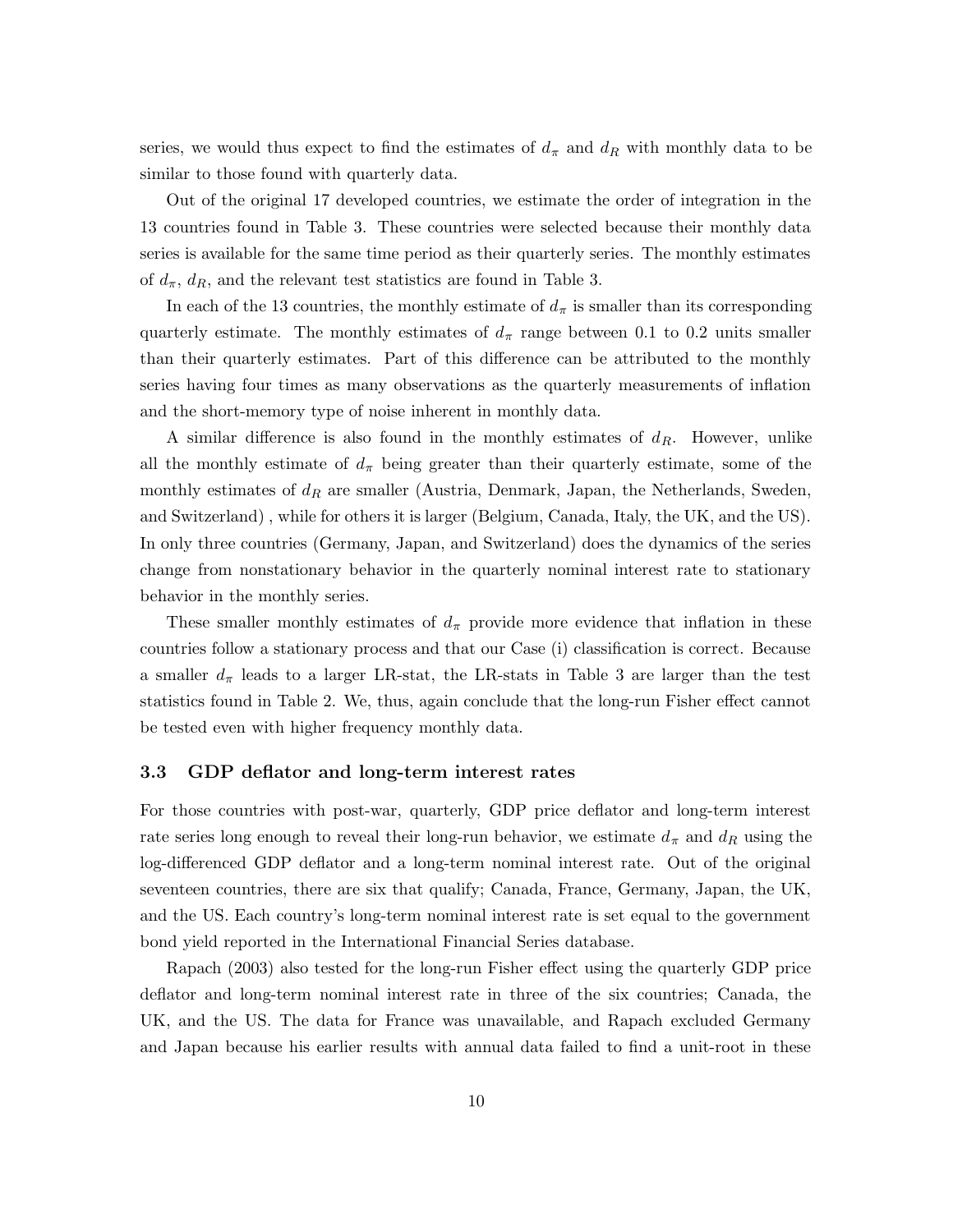series, we would thus expect to find the estimates of  $d_{\pi}$  and  $d_{R}$  with monthly data to be similar to those found with quarterly data.

Out of the original 17 developed countries, we estimate the order of integration in the 13 countries found in Table 3. These countries were selected because their monthly data series is available for the same time period as their quarterly series. The monthly estimates of  $d_{\pi}$ ,  $d_R$ , and the relevant test statistics are found in Table 3.

In each of the 13 countries, the monthly estimate of  $d<sub>\pi</sub>$  is smaller than its corresponding quarterly estimate. The monthly estimates of  $d_{\pi}$  range between 0.1 to 0.2 units smaller than their quarterly estimates. Part of this difference can be attributed to the monthly series having four times as many observations as the quarterly measurements of inflation and the short-memory type of noise inherent in monthly data.

A similar difference is also found in the monthly estimates of  $d<sub>R</sub>$ . However, unlike all the monthly estimate of  $d_{\pi}$  being greater than their quarterly estimate, some of the monthly estimates of  $d<sub>R</sub>$  are smaller (Austria, Denmark, Japan, the Netherlands, Sweden, and Switzerland) , while for others it is larger (Belgium, Canada, Italy, the UK, and the US). In only three countries (Germany, Japan, and Switzerland) does the dynamics of the series change from nonstationary behavior in the quarterly nominal interest rate to stationary behavior in the monthly series.

These smaller monthly estimates of  $d_{\pi}$  provide more evidence that inflation in these countries follow a stationary process and that our Case (i) classification is correct. Because a smaller  $d_{\pi}$  leads to a larger LR-stat, the LR-stats in Table 3 are larger than the test statistics found in Table 2. We, thus, again conclude that the long-run Fisher effect cannot be tested even with higher frequency monthly data.

#### 3.3 GDP deflator and long-term interest rates

For those countries with post-war, quarterly, GDP price deflator and long-term interest rate series long enough to reveal their long-run behavior, we estimate  $d_{\pi}$  and  $d_{R}$  using the log-differenced GDP deflator and a long-term nominal interest rate. Out of the original seventeen countries, there are six that qualify; Canada, France, Germany, Japan, the UK, and the US. Each country's long-term nominal interest rate is set equal to the government bond yield reported in the International Financial Series database.

Rapach (2003) also tested for the long-run Fisher effect using the quarterly GDP price deflator and long-term nominal interest rate in three of the six countries; Canada, the UK, and the US. The data for France was unavailable, and Rapach excluded Germany and Japan because his earlier results with annual data failed to find a unit-root in these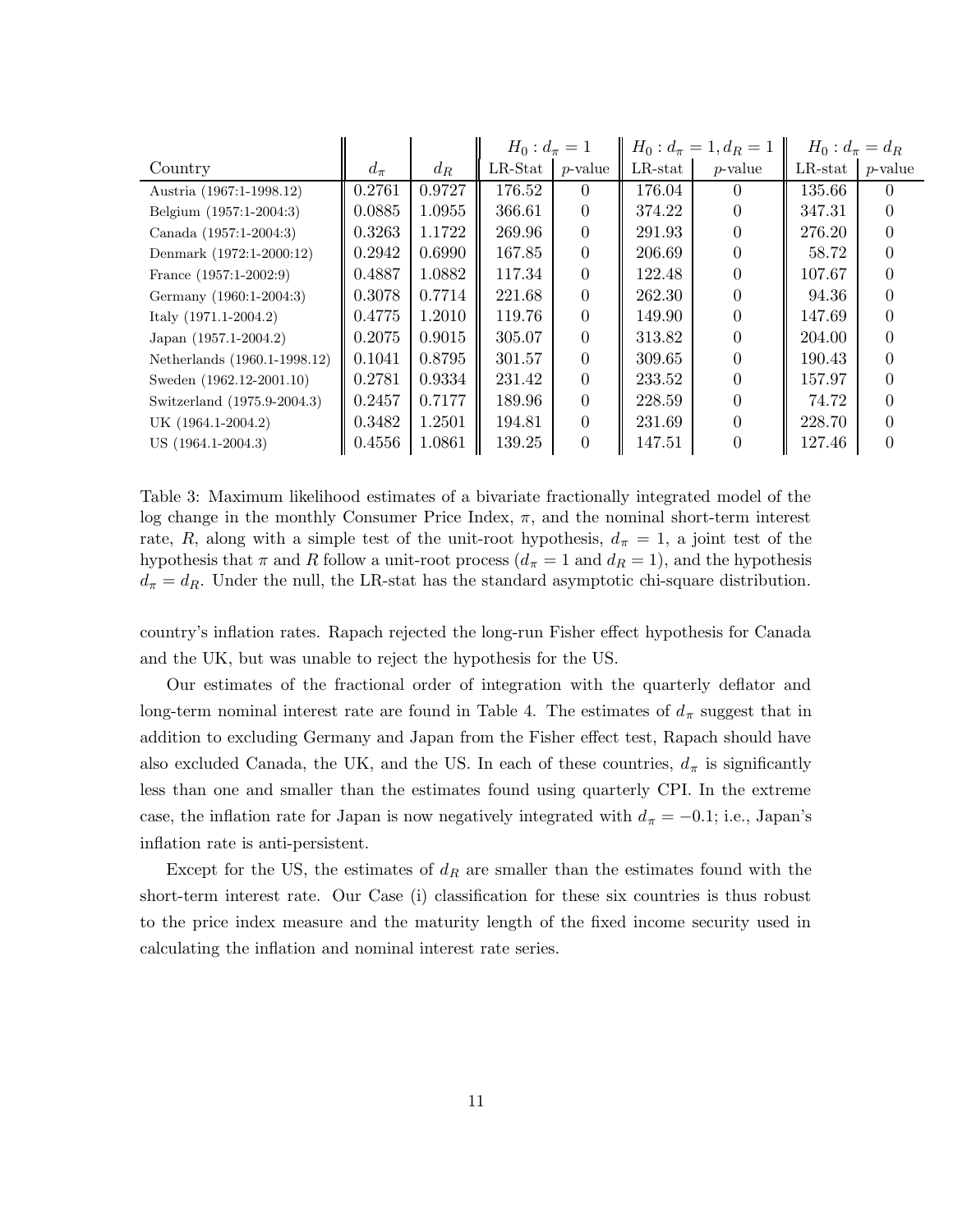|                              |           |        | $H_0: d_{\pi}=1$ |                | $H_0: d_{\pi}=1, d_R=1$ |                  | $H_0: d_{\pi} = d_R$ |            |
|------------------------------|-----------|--------|------------------|----------------|-------------------------|------------------|----------------------|------------|
| Country                      | $d_{\pi}$ | $d_R$  | $LR$ -Stat       | $p$ -value     | $LR$ -stat              | $p$ -value       | $LR$ -stat           | $p$ -value |
| Austria (1967:1-1998.12)     | 0.2761    | 0.9727 | 176.52           | $\theta$       | 176.04                  | $\left( \right)$ | 135.66               |            |
| Belgium (1957:1-2004:3)      | 0.0885    | 1.0955 | 366.61           | $\overline{0}$ | 374.22                  |                  | 347.31               |            |
| Canada (1957:1-2004:3)       | 0.3263    | 1.1722 | 269.96           | $\overline{0}$ | 291.93                  | $\Omega$         | 276.20               |            |
| Denmark (1972:1-2000:12)     | 0.2942    | 0.6990 | 167.85           | $\theta$       | 206.69                  |                  | 58.72                |            |
| France $(1957:1-2002:9)$     | 0.4887    | 1.0882 | 117.34           | $\overline{0}$ | 122.48                  |                  | 107.67               |            |
| Germany (1960:1-2004:3)      | 0.3078    | 0.7714 | 221.68           | $\theta$       | 262.30                  |                  | 94.36                |            |
| Italy $(1971.1 - 2004.2)$    | 0.4775    | 1.2010 | 119.76           | $\theta$       | 149.90                  |                  | 147.69               |            |
| Japan $(1957.1 - 2004.2)$    | 0.2075    | 0.9015 | 305.07           | $\Omega$       | 313.82                  |                  | 204.00               |            |
| Netherlands (1960.1-1998.12) | 0.1041    | 0.8795 | 301.57           | $\theta$       | 309.65                  |                  | 190.43               |            |
| Sweden (1962.12-2001.10)     | 0.2781    | 0.9334 | 231.42           | $\overline{0}$ | 233.52                  |                  | 157.97               |            |
| Switzerland (1975.9-2004.3)  | 0.2457    | 0.7177 | 189.96           | $\theta$       | 228.59                  |                  | 74.72                |            |
| UK (1964.1-2004.2)           | 0.3482    | 1.2501 | 194.81           | $\Omega$       | 231.69                  |                  | 228.70               |            |
| US (1964.1-2004.3)           | 0.4556    | 1.0861 | 139.25           | $\Omega$       | 147.51                  |                  | 127.46               |            |

Table 3: Maximum likelihood estimates of a bivariate fractionally integrated model of the log change in the monthly Consumer Price Index,  $\pi$ , and the nominal short-term interest rate, R, along with a simple test of the unit-root hypothesis,  $d_{\pi} = 1$ , a joint test of the hypothesis that  $\pi$  and R follow a unit-root process ( $d_{\pi} = 1$  and  $d_R = 1$ ), and the hypothesis  $d_{\pi} = d_R$ . Under the null, the LR-stat has the standard asymptotic chi-square distribution.

country's inflation rates. Rapach rejected the long-run Fisher effect hypothesis for Canada and the UK, but was unable to reject the hypothesis for the US.

Our estimates of the fractional order of integration with the quarterly deflator and long-term nominal interest rate are found in Table 4. The estimates of  $d_{\pi}$  suggest that in addition to excluding Germany and Japan from the Fisher effect test, Rapach should have also excluded Canada, the UK, and the US. In each of these countries,  $d_{\pi}$  is significantly less than one and smaller than the estimates found using quarterly CPI. In the extreme case, the inflation rate for Japan is now negatively integrated with  $d_{\pi} = -0.1$ ; i.e., Japan's inflation rate is anti-persistent.

Except for the US, the estimates of  $d<sub>R</sub>$  are smaller than the estimates found with the short-term interest rate. Our Case (i) classification for these six countries is thus robust to the price index measure and the maturity length of the fixed income security used in calculating the inflation and nominal interest rate series.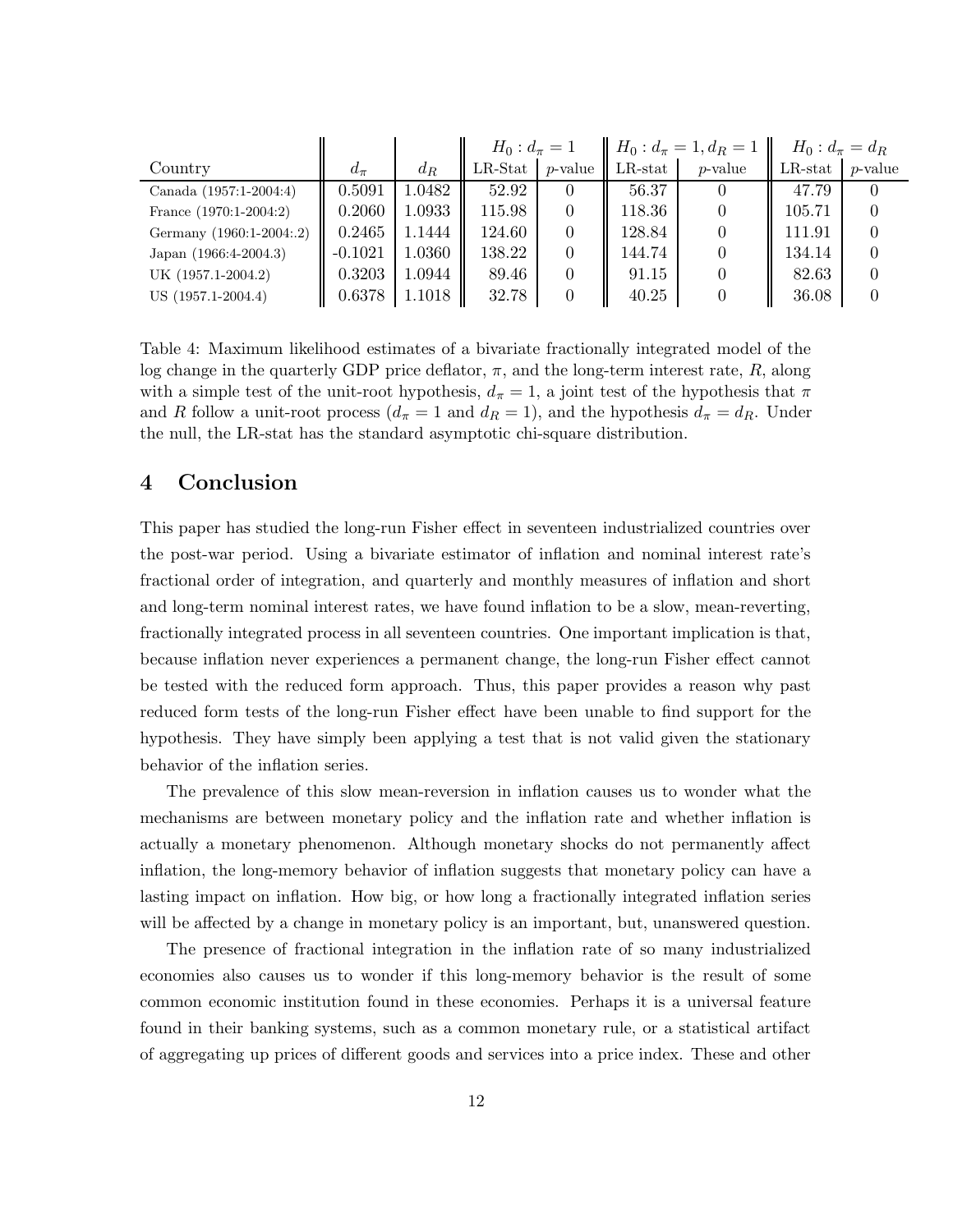|                          |           |        | $H_0: d_{\pi}=1$ |            | $H_0: d_{\pi}=1, d_R=1$ |            | $H_0: d_{\pi} = d_R$ |            |
|--------------------------|-----------|--------|------------------|------------|-------------------------|------------|----------------------|------------|
| Country                  | $d_{\pi}$ | $d_R$  | $LR$ -Stat       | $p$ -value | $LR$ -stat              | $p$ -value | $LR$ -stat           | $p$ -value |
| Canada (1957:1-2004:4)   | 0.5091    | 1.0482 | 52.92            | $\theta$   | 56.37                   |            | 47.79                |            |
| France $(1970:1-2004:2)$ | 0.2060    | 1.0933 | 115.98           | $\Omega$   | 118.36                  |            | 105.71               |            |
| Germany (1960:1-2004:.2) | 0.2465    | 1.1444 | 124.60           | $\theta$   | 128.84                  |            | 111.91               |            |
| Japan (1966:4-2004.3)    | $-0.1021$ | 1.0360 | 138.22           | $\Omega$   | 144.74                  |            | 134.14               |            |
| UK (1957.1-2004.2)       | 0.3203    | 1.0944 | 89.46            | 0          | 91.15                   |            | 82.63                |            |
| US (1957.1-2004.4)       | 0.6378    | 1.1018 | 32.78            | 0          | 40.25                   |            | 36.08                |            |

Table 4: Maximum likelihood estimates of a bivariate fractionally integrated model of the log change in the quarterly GDP price deflator,  $\pi$ , and the long-term interest rate, R, along with a simple test of the unit-root hypothesis,  $d_{\pi} = 1$ , a joint test of the hypothesis that  $\pi$ and R follow a unit-root process  $(d_{\pi} = 1 \text{ and } d_R = 1)$ , and the hypothesis  $d_{\pi} = d_R$ . Under the null, the LR-stat has the standard asymptotic chi-square distribution.

#### 4 Conclusion

This paper has studied the long-run Fisher effect in seventeen industrialized countries over the post-war period. Using a bivariate estimator of inflation and nominal interest rate's fractional order of integration, and quarterly and monthly measures of inflation and short and long-term nominal interest rates, we have found inflation to be a slow, mean-reverting, fractionally integrated process in all seventeen countries. One important implication is that, because inflation never experiences a permanent change, the long-run Fisher effect cannot be tested with the reduced form approach. Thus, this paper provides a reason why past reduced form tests of the long-run Fisher effect have been unable to find support for the hypothesis. They have simply been applying a test that is not valid given the stationary behavior of the inflation series.

The prevalence of this slow mean-reversion in inflation causes us to wonder what the mechanisms are between monetary policy and the inflation rate and whether inflation is actually a monetary phenomenon. Although monetary shocks do not permanently affect inflation, the long-memory behavior of inflation suggests that monetary policy can have a lasting impact on inflation. How big, or how long a fractionally integrated inflation series will be affected by a change in monetary policy is an important, but, unanswered question.

The presence of fractional integration in the inflation rate of so many industrialized economies also causes us to wonder if this long-memory behavior is the result of some common economic institution found in these economies. Perhaps it is a universal feature found in their banking systems, such as a common monetary rule, or a statistical artifact of aggregating up prices of different goods and services into a price index. These and other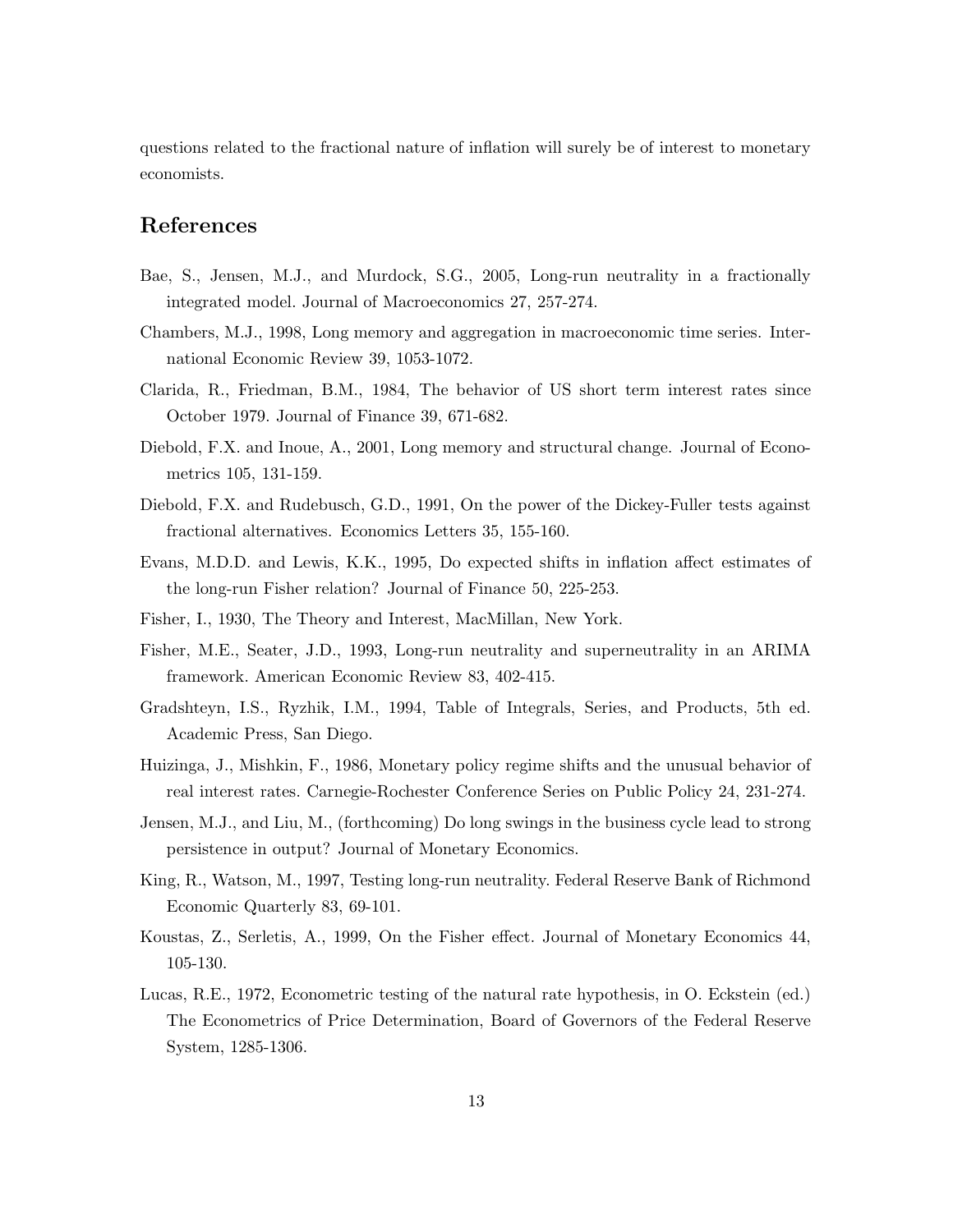questions related to the fractional nature of inflation will surely be of interest to monetary economists.

#### References

- Bae, S., Jensen, M.J., and Murdock, S.G., 2005, Long-run neutrality in a fractionally integrated model. Journal of Macroeconomics 27, 257-274.
- Chambers, M.J., 1998, Long memory and aggregation in macroeconomic time series. International Economic Review 39, 1053-1072.
- Clarida, R., Friedman, B.M., 1984, The behavior of US short term interest rates since October 1979. Journal of Finance 39, 671-682.
- Diebold, F.X. and Inoue, A., 2001, Long memory and structural change. Journal of Econometrics 105, 131-159.
- Diebold, F.X. and Rudebusch, G.D., 1991, On the power of the Dickey-Fuller tests against fractional alternatives. Economics Letters 35, 155-160.
- Evans, M.D.D. and Lewis, K.K., 1995, Do expected shifts in inflation affect estimates of the long-run Fisher relation? Journal of Finance 50, 225-253.
- Fisher, I., 1930, The Theory and Interest, MacMillan, New York.
- Fisher, M.E., Seater, J.D., 1993, Long-run neutrality and superneutrality in an ARIMA framework. American Economic Review 83, 402-415.
- Gradshteyn, I.S., Ryzhik, I.M., 1994, Table of Integrals, Series, and Products, 5th ed. Academic Press, San Diego.
- Huizinga, J., Mishkin, F., 1986, Monetary policy regime shifts and the unusual behavior of real interest rates. Carnegie-Rochester Conference Series on Public Policy 24, 231-274.
- Jensen, M.J., and Liu, M., (forthcoming) Do long swings in the business cycle lead to strong persistence in output? Journal of Monetary Economics.
- King, R., Watson, M., 1997, Testing long-run neutrality. Federal Reserve Bank of Richmond Economic Quarterly 83, 69-101.
- Koustas, Z., Serletis, A., 1999, On the Fisher effect. Journal of Monetary Economics 44, 105-130.
- Lucas, R.E., 1972, Econometric testing of the natural rate hypothesis, in O. Eckstein (ed.) The Econometrics of Price Determination, Board of Governors of the Federal Reserve System, 1285-1306.